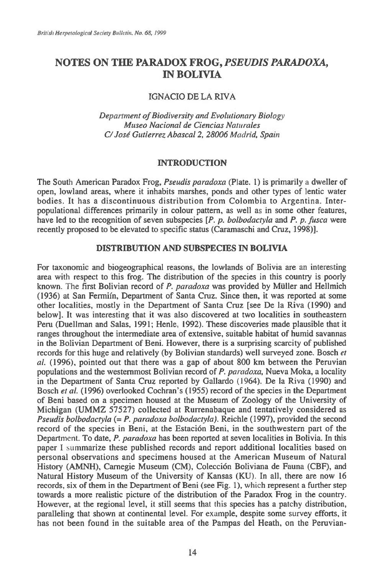# **NOTES ON THE PARADOX FROG,** *PSEUDIS PARADOXA,*  **IN BOLIVIA**

## IGNACIO DE LA RIVA

*Department of Biodiversity and Evolutionary Biology Museo Nacional de Ciencias Naturales a Jose Gutierrez Abascal 2, 28006 Madrid, Spain* 

### INTRODUCTION

The South American Paradox Frog, *Pseudis paradoxa* (Plate. 1) is primarily a dweller of open, lowland areas, where it inhabits marshes, ponds and other types of lentic water bodies. It has a discontinuous distribution from Colombia to Argentina. Interpopulational differences primarily in colour pattern, as well as in some other features, have led to the recognition of seven subspecies *[P. p. bolbodactyla* and *P. p. fusca* were recently proposed to be elevated to specific status (Caramaschi and Cruz, 1998)].

#### DISTRIBUTION AND SUBSPECIES IN BOLIVIA

For taxonomic and biogeographical reasons, the lowlands of Bolivia are an interesting area with respect to this frog. The distribution of the species in this country is poorly known. The first Bolivian record of *P. paradoxa* was provided by Muller and Hellmich (1936) at San Fermiin, Department of Santa Cruz. Since then, it was reported at some other localities, mostly in the Department of Santa Cruz [see De la Riva (1990) and below]. It was interesting that it was also discovered at two localities in southeastern Peru (Duellman and Salas, 1991; Henle, 1992). These discoveries made plausible that it ranges throughout the intermediate area of extensive, suitable habitat of humid savannas in the Bolivian Department of Beni. However, there is a surprising scarcity of published records for this huge and relatively (by Bolivian standards) well surveyed zone. Bosch *et al.* (1996), pointed out that there was a gap of about 800 km between the Peruvian populations and the westernmost Bolivian record of *P. paradoxa,* Nueva Moka, a locality in the Department of Santa Cruz reported by Gallardo (1964). De la Riva (1990) and Bosch et al. (1996) overlooked Cochran's (1955) record of the species in the Department of Beni based on a specimen housed at the Museum of Zoology of the University of Michigan (UMMZ 57527) collected at Rurrenabaque and tentatively considered as *Pseudis bolbodactyla (= P. paradoxa bolbodactyla).* Reichle (1997), provided the second record of the species in Beni, at the Estacion Beni, in the southwestern part of the Department. To date, *P. paradoxa* has been reported at seven localities in Bolivia. In this paper I summarize these published records and report additional localities based on personal observations and specimens housed at the American Museum of Natural History (AMNH), Carnegie Museum (CM), Coleccion Boliviana de Fauna (CBF), and Natural History Museum of the University of Kansas (KU). In all, there are now 16 records, six of them in the Department of Beni (see Fig. 1), which represent a further step towards a more realistic picture of the distribution of the Paradox Frog in the country. However, at the regional level, it still seems that this species has a patchy distribution, paralleling that shown at continental level. For example, despite some survey efforts, it has not been found in the suitable area of the Pampas del Heath, on the Peruvian-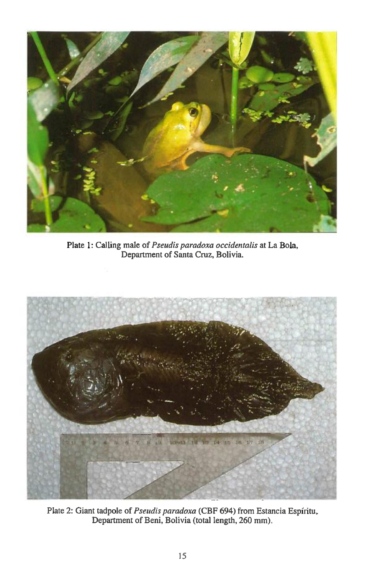

Plate 1: Calling male of *Pseudis paradoxa occidentalis at* La Bola, Department of Santa Cruz, Bolivia.



Plate 2: Giant tadpole of *Pseudis paradoxa* (CBF 694) from Estancia Espiritu, Department of Beni, Bolivia (total length, 260 mm).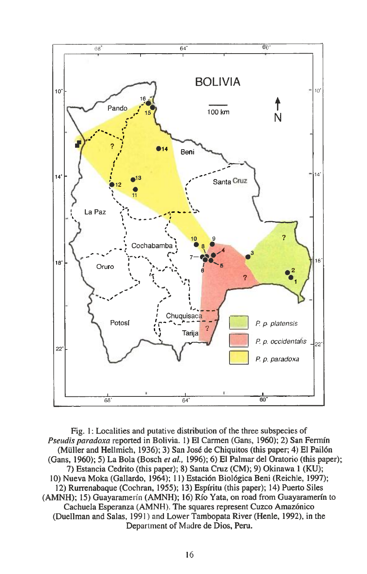

Fig. 1: Localities and putative distribution of the three subspecies of Pseudis paradoxa reported in Bolivia. 1) El Carmen (Gans, 1960); 2) San Fermín (Müller and Hellmich, 1936); 3) San José de Chiquitos (this paper; 4) El Pailón (Gans, 1960); 5) La Bola (Bosch et al., 1996); 6) El Palmar del Oratorio (this paper); 7) Estancia Cedrito (this paper); 8) Santa Cruz (CM); 9) Okinawa 1 (KU); 10) Nueva Moka (Gallardo, 1964); 11) Estación Biológica Beni (Reichle, 1997); 12) Rurrenabaque (Cochran, 1955); 13) Espíritu (this paper); 14) Puerto Siles (AMNH); 15) Guayaramerín (AMNH); 16) Río Yata, on road from Guayaramerín to Cachuela Esperanza (AMNH). The squares represent Cuzco Amazónico (Duellman and Salas, 1991) and Lower Tambopata River (Henle, 1992), in the Department of Madre de Dios, Peru.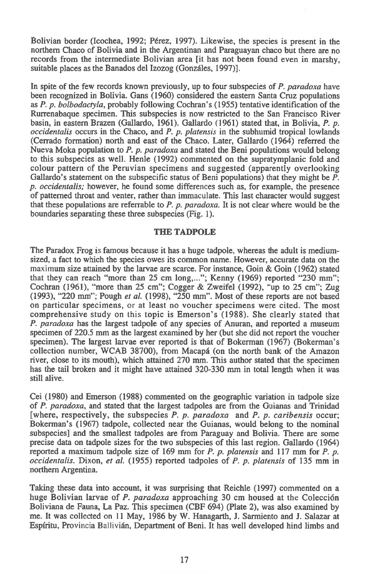Bolivian border (Icochea, 1992; Perez, 1997). Likewise, the species is present in the northern Chaco of Bolivia and in the Argentinan and Paraguayan chaco but there are no records from the intermediate Bolivian area [it has not been found even in marshy, suitable places as the Banados del Izozog (Gonzales, 1997)].

In spite of the few records known previously, up to four subspecies of *P. paradoxa* have been recognized in Bolivia. Gans (1960) considered the eastern Santa Cruz populations as *P. p. bolbodacryla,* probably following Cochran's (1955) tentative identification of the Rurrenabaque specimen. This subspecies is now restricted to the San Francisco River basin, in eastern Brazen (Gallardo, 1961). Gallardo (1961) stated that, in Bolivia, *P. p. occidentalis* occurs in the Chaco, and *P. p. platensis* in the subhumid tropical lowlands (Cerrado formation) north and east of the Chaco. Later, Gallardo (1964) referred the Nueva Moka population to *P. p. paradoxa* and stated the Beni populations would belong to this subspecies as well. Henle (1992) commented on the supratymplanic fold and colour pattern of the Peruvian specimens and suggested (apparently overlooking Gallardo's statement on the subspecific status of Beni populations) that they might be *P. p. occidentalis;* however, he found some differences such as, for example, the presence of patterned throat and venter, rather than immaculate. This last character would suggest that these populations are referrable to *P. p. paradoxa.* It is not clear where would be the boundaries separating these three subspecies (Fig. 1).

#### **THE TADPOLE**

The Paradox Frog is famous because it has a huge tadpole, whereas the adult is mediumsized, a fact to which the species owes its common name. However, accurate data on the maximum size attained by the larvae are scarce. For instance, Goin & Goin (1962) stated that they can reach "more than 25 cm long,..."; Kenny (1969) reported "230 mm"; Cochran (1961), "more than 25 cm"; Cogger & Zweifel (1992), "up to 25 cm"; Zug (1993), "220 mm"; Pough *et al.* (1998), "250 mm". Most of these reports are not based on particular specimens, or at least no voucher specimens were cited. The most comprehensive study on this topic is Emerson's (1988). She clearly stated that *P. paradoxa* has the largest tadpole of any species of Anuran, and reported a museum specimen of 220.5 mm as the largest examined by her (but she did not report the voucher specimen). The largest larvae ever reported is that of Bokerman (1967) (Bokerman's collection number, WCAB 38700), from Macapa (on the north bank of the Amazon river, close to its mouth), which attained 270 mm. This author stated that the specimen has the tail broken and it might have attained 320-330 mm in total length when it was still alive.

Cei (1980) and Emerson (1988) commented on the geographic variation in tadpole size of *P. paradoxa,* and stated that the largest tadpoles are from the Guianas and Trinidad [where, respectively, the subspecies *P. p. paradoxa* and *P. p. caribensis* occur; Bokerman's (1967) tadpole, collected near the Guianas, would belong to the nominal subspecies] and the smallest tadpoles are from Paraguay and Bolivia. There are some precise data on tadpole sizes for the two subspecies of this last region. Gallardo (1964) reported a maximum tadpole size of 169 mm for *P. p. platensis* and 117 mm for *P. p. occidentalis.* Dixon, *et al.* (1955) reported tadpoles of *P. p. platensis* of 135 mm in northern Argentina.

Taking these data into account, it was surprising that Reichle (1997) commented on a huge Bolivian larvae of *P. paradoxa* approaching 30 cm housed at the Coleccion Boliviana de Fauna, La Paz. This specimen (CBF 694) (Plate 2), was also examined by me. It was collected on 11 May, 1986 by W. Hanagarth, J. Sarmiento and J. Salazar at Espiritu, Provincia Ballivian, Department of Beni. It has well developed hind limbs and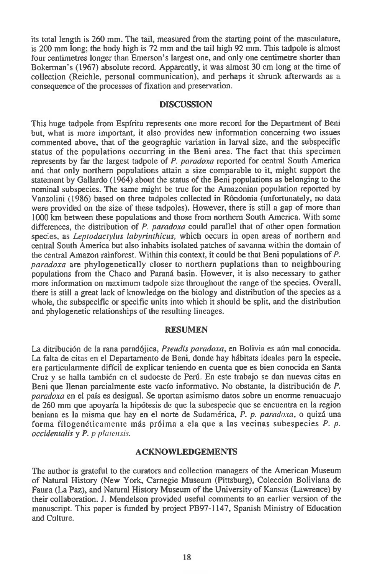its total length is 260 mm. The tail, measured from the starting point of the masculature, is 200 mm long; the body high is 72 mm and the tail high 92 mm. This tadpole is almost four centimetres longer than Emerson's largest one, and only one centimetre shorter than Bokerman's (1967) absolute record. Apparently, it was almost 30 cm long at the time of collection (Reichle, personal communication), and perhaps it shrunk afterwards as a consequence of the processes of fixation and preservation.

#### DISCUSSION

This huge tadpole from Espiritu represents one more record for the Department of Beni but, what is more important, it also provides new information concerning two issues commented above, that of the geographic variation in larval size, and the subspecific status of the populations occurring in the Beni area. The fact that this specimen represents by far the largest tadpole of *P. paradoxa* reported for central South America and that only northern populations attain a size comparable to it, might support the statement by Gallardo (1964) about the status of the Beni populations as belonging to the nominal subspecies. The same might be true for the Amazonian population reported by Vanzolini (1986) based on three tadpoles collected in Rondonia (unfortunately, no data were provided on the size of these tadpoles). However, there is still a gap of more than 1000 km between these populations and those from northern South America. With some differences, the distribution of *P. paradoxa* could parallel that of other open formation species, as *Leptodactyhts labyrinthicus,* which occurs in open areas of northern and central South America but also inhabits isolated patches of savanna within the domain of the central Amazon rainforest. Within this context, it could be that Beni populations of *P. paradoxa* are phylogenetically closer to northern puplations than to neighbouring populations from the Chaco and Parana basin. However, it is also necessary to gather more information on maximum tadpole size throughout the range of the species. Overall, there is still a great lack of knowledge on the biology and distribution of the species as a whole, the subspecific or specific units into which it should be split, and the distribution and phylogenetic relationships of the resulting lineages.

#### **RESUMEN**

La ditribución de la rana paradójica, *Pseudis paradoxa*, en Bolivia es aún mal conocida. La falta de citas en el Departamento de Beni, donde hay habitats ideales para la especie, era particularmente dificil de explicar teniendo en cuenta que es bien conocida en Santa Cruz y se halla tambien en el sudoeste de Peru. En este trabajo se dan nuevas citas en Beni que Ilenan parcialmente este vacio informativo. No obstante, la distribucion de *P. paradoxa en* el pais es desigual. Se aportan asimismo datos sobre un enorme renuacuajo de 260 mm que apoyaria la hipotesis de que la subespecie que se encuentra en la region beniana es la misma que hay en el norte de Sudamerica, *P. p. pamdo.va,* o quiza una forma filogeneticamente mas pr6ima a ela que a las vecinas subespecies *P. p. occidentalis*  $\gamma$  *P. p platensis.* 

### ACKNOWLEDGEMENTS

The author is grateful to the curators and collection managers of the American Museum of Natural History (New York, Carnegie Museum (Pittsburg), Colección Boliviana de Fauna (La Paz), and Natural History Museum of the University of Kansas (Lawrence) by their collaboration. J. Mendelson provided useful comments to an earlier version of the manuscript. This paper is funded by project PB97-1147, Spanish Ministry of Education and Culture.